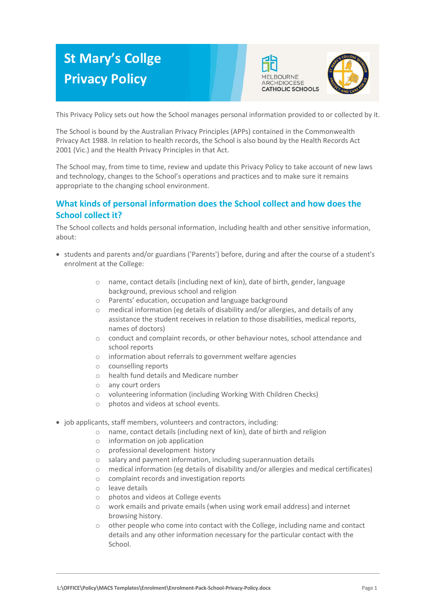# **St Mary's Collge Privacy Policy**





This Privacy Policy sets out how the School manages personal information provided to or collected by it.

The School is bound by the Australian Privacy Principles (APPs) contained in the Commonwealth Privacy Act 1988. In relation to health records, the School is also bound by the Health Records Act 2001 (Vic.) and the Health Privacy Principles in that Act.

The School may, from time to time, review and update this Privacy Policy to take account of new laws and technology, changes to the School's operations and practices and to make sure it remains appropriate to the changing school environment.

# **What kinds of personal information does the School collect and how does the School collect it?**

The School collects and holds personal information, including health and other sensitive information, about:

- students and parents and/or guardians ('Parents') before, during and after the course of a student's enrolment at the College:
	- o name, contact details (including next of kin), date of birth, gender, language background, previous school and religion
	- o Parents' education, occupation and language background
	- $\circ$  medical information (eg details of disability and/or allergies, and details of any assistance the student receives in relation to those disabilities, medical reports, names of doctors)
	- o conduct and complaint records, or other behaviour notes, school attendance and school reports
	- o information about referrals to government welfare agencies
	- o counselling reports
	- o health fund details and Medicare number
	- o any court orders
	- o volunteering information (including Working With Children Checks)
	- o photos and videos at school events.
- job applicants, staff members, volunteers and contractors, including:
	- o name, contact details (including next of kin), date of birth and religion
	- o information on job application
	- o professional development history
	- o salary and payment information, including superannuation details
	- o medical information (eg details of disability and/or allergies and medical certificates)
	- o complaint records and investigation reports
	- o leave details
	- o photos and videos at College events
	- o work emails and private emails (when using work email address) and internet browsing history.
	- $\circ$  other people who come into contact with the College, including name and contact details and any other information necessary for the particular contact with the School.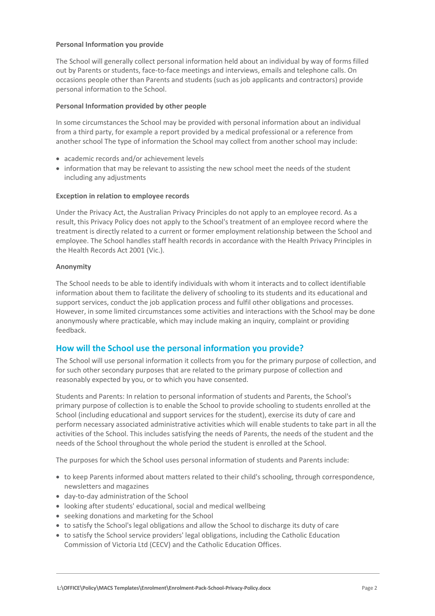# **Personal Information you provide**

The School will generally collect personal information held about an individual by way of forms filled out by Parents or students, face-to-face meetings and interviews, emails and telephone calls. On occasions people other than Parents and students (such as job applicants and contractors) provide personal information to the School.

# **Personal Information provided by other people**

In some circumstances the School may be provided with personal information about an individual from a third party, for example a report provided by a medical professional or a reference from another school The type of information the School may collect from another school may include:

- academic records and/or achievement levels
- information that may be relevant to assisting the new school meet the needs of the student including any adjustments

# **Exception in relation to employee records**

Under the Privacy Act, the Australian Privacy Principles do not apply to an employee record. As a result, this Privacy Policy does not apply to the School's treatment of an employee record where the treatment is directly related to a current or former employment relationship between the School and employee. The School handles staff health records in accordance with the Health Privacy Principles in the Health Records Act 2001 (Vic.).

# **Anonymity**

The School needs to be able to identify individuals with whom it interacts and to collect identifiable information about them to facilitate the delivery of schooling to its students and its educational and support services, conduct the job application process and fulfil other obligations and processes. However, in some limited circumstances some activities and interactions with the School may be done anonymously where practicable, which may include making an inquiry, complaint or providing feedback.

# **How will the School use the personal information you provide?**

The School will use personal information it collects from you for the primary purpose of collection, and for such other secondary purposes that are related to the primary purpose of collection and reasonably expected by you, or to which you have consented.

Students and Parents: In relation to personal information of students and Parents, the School's primary purpose of collection is to enable the School to provide schooling to students enrolled at the School (including educational and support services for the student), exercise its duty of care and perform necessary associated administrative activities which will enable students to take part in all the activities of the School. This includes satisfying the needs of Parents, the needs of the student and the needs of the School throughout the whole period the student is enrolled at the School.

The purposes for which the School uses personal information of students and Parents include:

- to keep Parents informed about matters related to their child's schooling, through correspondence, newsletters and magazines
- day-to-day administration of the School
- looking after students' educational, social and medical wellbeing
- seeking donations and marketing for the School
- to satisfy the School's legal obligations and allow the School to discharge its duty of care
- to satisfy the School service providers' legal obligations, including the Catholic Education Commission of Victoria Ltd (CECV) and the Catholic Education Offices.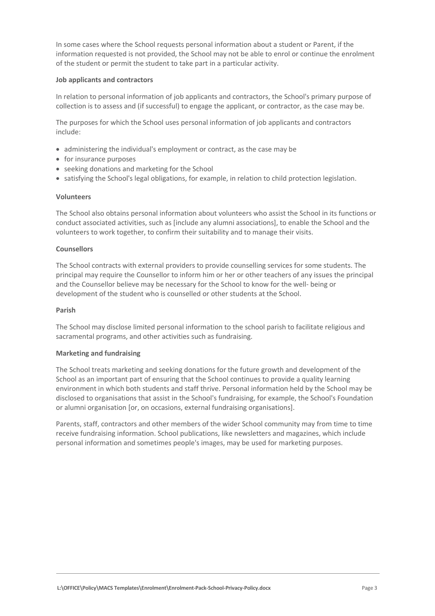In some cases where the School requests personal information about a student or Parent, if the information requested is not provided, the School may not be able to enrol or continue the enrolment of the student or permit the student to take part in a particular activity.

# **Job applicants and contractors**

In relation to personal information of job applicants and contractors, the School's primary purpose of collection is to assess and (if successful) to engage the applicant, or contractor, as the case may be.

The purposes for which the School uses personal information of job applicants and contractors include:

- administering the individual's employment or contract, as the case may be
- for insurance purposes
- seeking donations and marketing for the School
- satisfying the School's legal obligations, for example, in relation to child protection legislation.

#### **Volunteers**

The School also obtains personal information about volunteers who assist the School in its functions or conduct associated activities, such as [include any alumni associations], to enable the School and the volunteers to work together, to confirm their suitability and to manage their visits.

#### **Counsellors**

The School contracts with external providers to provide counselling services for some students. The principal may require the Counsellor to inform him or her or other teachers of any issues the principal and the Counsellor believe may be necessary for the School to know for the well- being or development of the student who is counselled or other students at the School.

#### **Parish**

The School may disclose limited personal information to the school parish to facilitate religious and sacramental programs, and other activities such as fundraising.

#### **Marketing and fundraising**

The School treats marketing and seeking donations for the future growth and development of the School as an important part of ensuring that the School continues to provide a quality learning environment in which both students and staff thrive. Personal information held by the School may be disclosed to organisations that assist in the School's fundraising, for example, the School's Foundation or alumni organisation [or, on occasions, external fundraising organisations].

Parents, staff, contractors and other members of the wider School community may from time to time receive fundraising information. School publications, like newsletters and magazines, which include personal information and sometimes people's images, may be used for marketing purposes.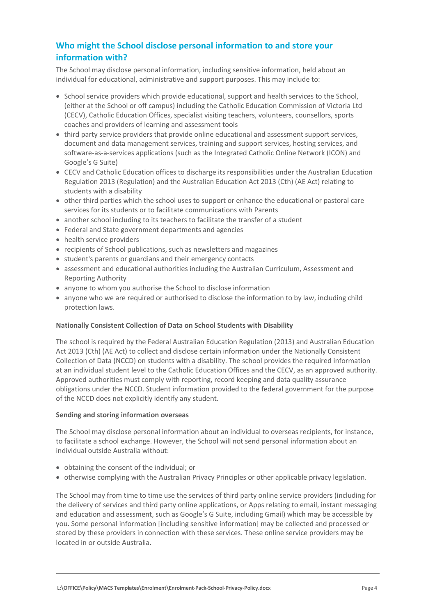# **Who might the School disclose personal information to and store your information with?**

The School may disclose personal information, including sensitive information, held about an individual for educational, administrative and support purposes. This may include to:

- School service providers which provide educational, support and health services to the School, (either at the School or off campus) including the Catholic Education Commission of Victoria Ltd (CECV), Catholic Education Offices, specialist visiting teachers, volunteers, counsellors, sports coaches and providers of learning and assessment tools
- third party service providers that provide online educational and assessment support services, document and data management services, training and support services, hosting services, and software-as-a-services applications (such as the Integrated Catholic Online Network (ICON) and Google's G Suite)
- CECV and Catholic Education offices to discharge its responsibilities under the Australian Education Regulation 2013 (Regulation) and the Australian Education Act 2013 (Cth) (AE Act) relating to students with a disability
- other third parties which the school uses to support or enhance the educational or pastoral care services for its students or to facilitate communications with Parents
- another school including to its teachers to facilitate the transfer of a student
- Federal and State government departments and agencies
- health service providers
- recipients of School publications, such as newsletters and magazines
- student's parents or guardians and their emergency contacts
- assessment and educational authorities including the Australian Curriculum, Assessment and Reporting Authority
- anyone to whom you authorise the School to disclose information
- anyone who we are required or authorised to disclose the information to by law, including child protection laws.

# **Nationally Consistent Collection of Data on School Students with Disability**

The school is required by the Federal Australian Education Regulation (2013) and Australian Education Act 2013 (Cth) (AE Act) to collect and disclose certain information under the Nationally Consistent Collection of Data (NCCD) on students with a disability. The school provides the required information at an individual student level to the Catholic Education Offices and the CECV, as an approved authority. Approved authorities must comply with reporting, record keeping and data quality assurance obligations under the NCCD. Student information provided to the federal government for the purpose of the NCCD does not explicitly identify any student.

# **Sending and storing information overseas**

The School may disclose personal information about an individual to overseas recipients, for instance, to facilitate a school exchange. However, the School will not send personal information about an individual outside Australia without:

- obtaining the consent of the individual; or
- otherwise complying with the Australian Privacy Principles or other applicable privacy legislation.

The School may from time to time use the services of third party online service providers (including for the delivery of services and third party online applications, or Apps relating to email, instant messaging and education and assessment, such as Google's G Suite, including Gmail) which may be accessible by you. Some personal information [including sensitive information] may be collected and processed or stored by these providers in connection with these services. These online service providers may be located in or outside Australia.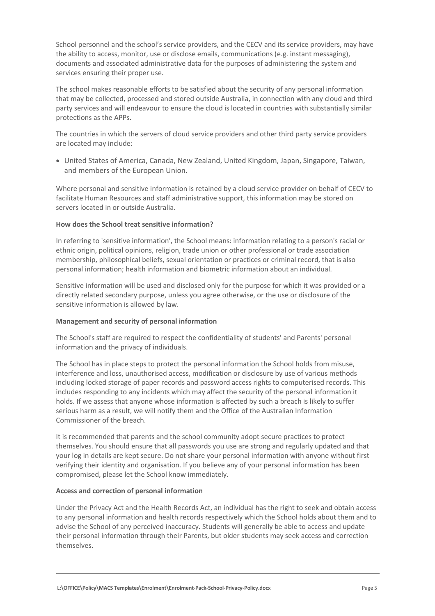School personnel and the school's service providers, and the CECV and its service providers, may have the ability to access, monitor, use or disclose emails, communications (e.g. instant messaging), documents and associated administrative data for the purposes of administering the system and services ensuring their proper use.

The school makes reasonable efforts to be satisfied about the security of any personal information that may be collected, processed and stored outside Australia, in connection with any cloud and third party services and will endeavour to ensure the cloud is located in countries with substantially similar protections as the APPs.

The countries in which the servers of cloud service providers and other third party service providers are located may include:

 United States of America, Canada, New Zealand, United Kingdom, Japan, Singapore, Taiwan, and members of the European Union.

Where personal and sensitive information is retained by a cloud service provider on behalf of CECV to facilitate Human Resources and staff administrative support, this information may be stored on servers located in or outside Australia.

# **How does the School treat sensitive information?**

In referring to 'sensitive information', the School means: information relating to a person's racial or ethnic origin, political opinions, religion, trade union or other professional or trade association membership, philosophical beliefs, sexual orientation or practices or criminal record, that is also personal information; health information and biometric information about an individual.

Sensitive information will be used and disclosed only for the purpose for which it was provided or a directly related secondary purpose, unless you agree otherwise, or the use or disclosure of the sensitive information is allowed by law.

#### **Management and security of personal information**

The School's staff are required to respect the confidentiality of students' and Parents' personal information and the privacy of individuals.

The School has in place steps to protect the personal information the School holds from misuse, interference and loss, unauthorised access, modification or disclosure by use of various methods including locked storage of paper records and password access rights to computerised records. This includes responding to any incidents which may affect the security of the personal information it holds. If we assess that anyone whose information is affected by such a breach is likely to suffer serious harm as a result, we will notify them and the Office of the Australian Information Commissioner of the breach.

It is recommended that parents and the school community adopt secure practices to protect themselves. You should ensure that all passwords you use are strong and regularly updated and that your log in details are kept secure. Do not share your personal information with anyone without first verifying their identity and organisation. If you believe any of your personal information has been compromised, please let the School know immediately.

#### **Access and correction of personal information**

Under the Privacy Act and the Health Records Act, an individual has the right to seek and obtain access to any personal information and health records respectively which the School holds about them and to advise the School of any perceived inaccuracy. Students will generally be able to access and update their personal information through their Parents, but older students may seek access and correction themselves.